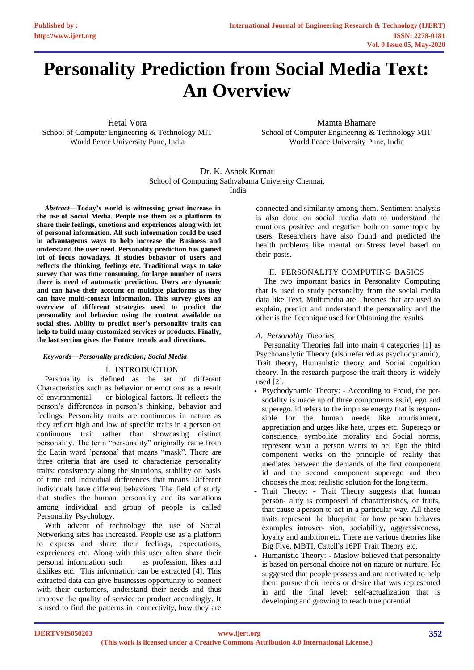# **Personality Prediction from Social Media Text: An Overview**

Hetal Vora School of Computer Engineering & Technology MIT World Peace University Pune, India

Mamta Bhamare School of Computer Engineering & Technology MIT World Peace University Pune, India

Dr. K. Ashok Kumar School of Computing Sathyabama University Chennai, India

*Abstract***—Today's world is witnessing great increase in the use of Social Media. People use them as a platform to share their feelings, emotions and experiences along with lot of personal information. All such information could be used in advantageous ways to help increase the Business and understand the user need. Personality prediction has gained lot of focus nowadays. It studies behavior of users and reflects the thinking, feelings etc. Traditional ways to take survey that was time consuming, for large number of users there is need of automatic prediction. Users are dynamic and can have their account on multiple platforms as they can have multi-context information. This survey gives an overview of different strategies used to predict the personality and behavior using the content available on social sites. Ability to predict user's personality traits can help to build many customized services or products. Finally, the last section gives the Future trends and directions.**

### *Keywords—Personality prediction; Social Media*

# I. INTRODUCTION

Personality is defined as the set of different Characteristics such as behavior or emotions as a result of environmental or biological factors. It reflects the person's differences in person's thinking, behavior and feelings. Personality traits are continuous in nature as they reflect high and low of specific traits in a person on continuous trait rather than showcasing distinct personality. The term "personality" originally came from the Latin word 'persona' that means "mask". There are three criteria that are used to characterize personality traits: consistency along the situations, stability on basis of time and Individual differences that means Different Individuals have different behaviors. The field of study that studies the human personality and its variations among individual and group of people is called Personality Psychology.

With advent of technology the use of Social Networking sites has increased. People use as a platform to express and share their feelings, expectations, experiences etc. Along with this user often share their personal information such as profession, likes and dislikes etc. This information can be extracted [4]. This extracted data can give businesses opportunity to connect with their customers, understand their needs and thus improve the quality of service or product accordingly. It is used to find the patterns in connectivity, how they are

connected and similarity among them. Sentiment analysis is also done on social media data to understand the emotions positive and negative both on some topic by users. Researchers have also found and predicted the health problems like mental or Stress level based on their posts.

### II. PERSONALITY COMPUTING BASICS

The two important basics in Personality Computing that is used to study personality from the social media data like Text, Multimedia are Theories that are used to explain, predict and understand the personality and the other is the Technique used for Obtaining the results.

# *A. Personality Theories*

Personality Theories fall into main 4 categories [1] as Psychoanalytic Theory (also referred as psychodynamic), Trait theory, Humanistic theory and Social cognition theory. In the research purpose the trait theory is widely used [2].

- *•* Psychodynamic Theory: According to Freud, the persodality is made up of three components as id, ego and superego. id refers to the impulse energy that is responsible for the human needs like nourishment, appreciation and urges like hate, urges etc. Superego or conscience, symbolize morality and Social norms, represent what a person wants to be. Ego the third component works on the principle of reality that mediates between the demands of the first component id and the second component superego and then chooses the most realistic solution for the long term.
- *•* Trait Theory: Trait Theory suggests that human person- ality is composed of characteristics, or traits, that cause a person to act in a particular way. All these traits represent the blueprint for how person behaves examples introver- sion, sociability, aggressiveness, loyalty and ambition etc. There are various theories like Big Five, MBTI, Cattell's 16PF Trait Theory etc.
- *•* Humanistic Theory: Maslow believed that personality is based on personal choice not on nature or nurture. He suggested that people possess and are motivated to help them pursue their needs or desire that was represented in and the final level: self-actualization that is developing and growing to reach true potential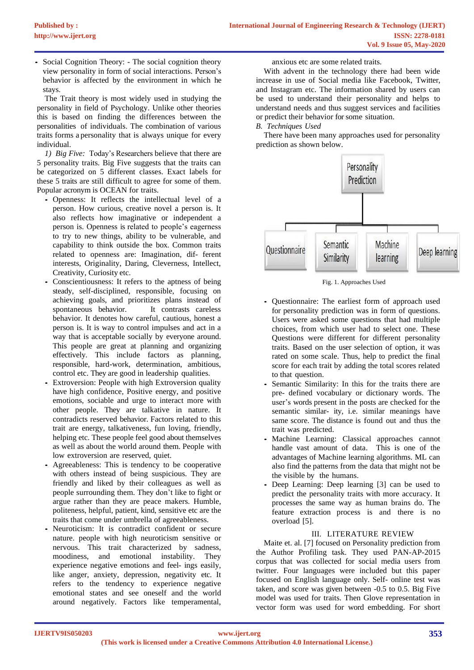*•* Social Cognition Theory: - The social cognition theory view personality in form of social interactions. Person's behavior is affected by the environment in which he stays.

The Trait theory is most widely used in studying the personality in field of Psychology. Unlike other theories this is based on finding the differences between the personalities of individuals. The combination of various traits forms a personality that is always unique for every individual.

*1) Big Five:* Today's Researchers believe that there are 5 personality traits. Big Five suggests that the traits can be categorized on 5 different classes. Exact labels for these 5 traits are still difficult to agree for some of them. Popular acronym is OCEAN for traits.

- *•* Openness: It reflects the intellectual level of a person. How curious, creative novel a person is. It also reflects how imaginative or independent a person is. Openness is related to people's eagerness to try to new things, ability to be vulnerable, and capability to think outside the box. Common traits related to openness are: Imagination, dif- ferent interests, Originality, Daring, Cleverness, Intellect, Creativity, Curiosity etc.
- *•* Conscientiousness: It refers to the aptness of being steady, self-disciplined, responsible, focusing on achieving goals, and prioritizes plans instead of spontaneous behavior. It contrasts careless behavior. It denotes how careful, cautious, honest a person is. It is way to control impulses and act in a way that is acceptable socially by everyone around. This people are great at planning and organizing effectively. This include factors as planning, responsible, hard-work, determination, ambitious, control etc. They are good in leadership qualities.
- Extroversion: People with high Extroversion quality have high confidence, Positive energy, and positive emotions, sociable and urge to interact more with other people. They are talkative in nature. It contradicts reserved behavior. Factors related to this trait are energy, talkativeness, fun loving, friendly, helping etc. These people feel good about themselves as well as about the world around them. People with low extroversion are reserved, quiet.
- *•* Agreeableness: This is tendency to be cooperative with others instead of being suspicious. They are friendly and liked by their colleagues as well as people surrounding them. They don't like to fight or argue rather than they are peace makers. Humble, politeness, helpful, patient, kind, sensitive etc are the traits that come under umbrella of agreeableness.
- Neuroticism: It is contradict confident or secure nature. people with high neuroticism sensitive or nervous. This trait characterized by sadness, moodiness, and emotional instability. They experience negative emotions and feel- ings easily, like anger, anxiety, depression, negativity etc. It refers to the tendency to experience negative emotional states and see oneself and the world around negatively. Factors like temperamental,

anxious etc are some related traits.

With advent in the technology there had been wide increase in use of Social media like Facebook, Twitter, and Instagram etc. The information shared by users can be used to understand their personality and helps to understand needs and thus suggest services and facilities or predict their behavior for some situation.

# *B. Techniques Used*

There have been many approaches used for personality prediction as shown below.



Fig. 1. Approaches Used

- *•* Questionnaire: The earliest form of approach used for personality prediction was in form of questions. Users were asked some questions that had multiple choices, from which user had to select one. These Questions were different for different personality traits. Based on the user selection of option, it was rated on some scale. Thus, help to predict the final score for each trait by adding the total scores related to that question.
- Semantic Similarity: In this for the traits there are pre- defined vocabulary or dictionary words. The user's words present in the posts are checked for the semantic similar- ity, i.e. similar meanings have same score. The distance is found out and thus the trait was predicted.
- Machine Learning: Classical approaches cannot handle vast amount of data. This is one of the advantages of Machine learning algorithms. ML can also find the patterns from the data that might not be the visible by the humans.
- *•* Deep Learning: Deep learning [3] can be used to predict the personality traits with more accuracy. It processes the same way as human brains do. The feature extraction process is and there is no overload [5].

### III. LITERATURE REVIEW

Maite et. al. [7] focused on Personality prediction from the Author Profiling task. They used PAN-AP-2015 corpus that was collected for social media users from twitter. Four languages were included but this paper focused on English language only. Self- online test was taken, and score was given between -0.5 to 0.5. Big Five model was used for traits. Then Glove representation in vector form was used for word embedding. For short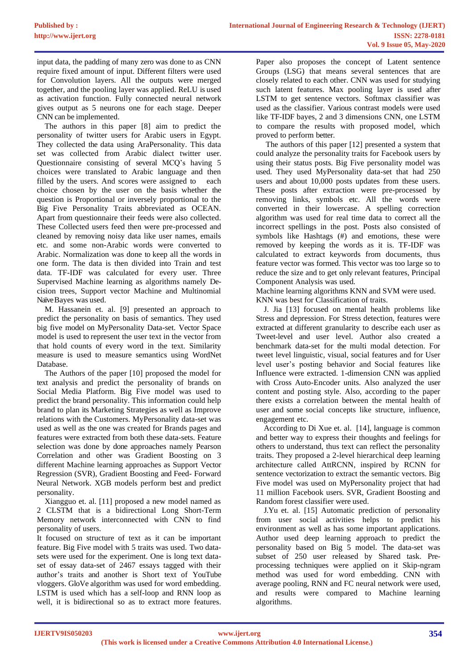input data, the padding of many zero was done to as CNN require fixed amount of input. Different filters were used for Convolution layers. All the outputs were merged together, and the pooling layer was applied. ReLU is used as activation function. Fully connected neural network gives output as 5 neurons one for each stage. Deeper CNN can be implemented.

The authors in this paper [8] aim to predict the personality of twitter users for Arabic users in Egypt. They collected the data using AraPersonality. This data set was collected from Arabic dialect twitter user. Questionnaire consisting of several MCQ's having 5 choices were translated to Arabic language and then filled by the users. And scores were assigned to each choice chosen by the user on the basis whether the question is Proportional or inversely proportional to the Big Five Personality Traits abbreviated as OCEAN. Apart from questionnaire their feeds were also collected. These Collected users feed then were pre-processed and cleaned by removing noisy data like user names, emails etc. and some non-Arabic words were converted to Arabic. Normalization was done to keep all the words in one form. The data is then divided into Train and test data. TF-IDF was calculated for every user. Three Supervised Machine learning as algorithms namely Decision trees, Support vector Machine and Multinomial NaïveBayes was used.

M. Hassanein et. al. [9] presented an approach to predict the personality on basis of semantics. They used big five model on MyPersonality Data-set. Vector Space model is used to represent the user text in the vector from that hold counts of every word in the text. Similarity measure is used to measure semantics using WordNet Database.

The Authors of the paper [10] proposed the model for text analysis and predict the personality of brands on Social Media Platform. Big Five model was used to predict the brand personality. This information could help brand to plan its Marketing Strategies as well as Improve relations with the Customers. MyPersonality data-set was used as well as the one was created for Brands pages and features were extracted from both these data-sets. Feature selection was done by done approaches namely Pearson Correlation and other was Gradient Boosting on 3 different Machine learning approaches as Support Vector Regression (SVR), Gradient Boosting and Feed- Forward Neural Network. XGB models perform best and predict personality.

Xiangguo et. al. [11] proposed a new model named as 2 CLSTM that is a bidirectional Long Short-Term Memory network interconnected with CNN to find personality of users.

It focused on structure of text as it can be important feature. Big Five model with 5 traits was used. Two datasets were used for the experiment. One is long text dataset of essay data-set of 2467 essays tagged with their author's traits and another is Short text of YouTube vloggers. GloVe algorithm was used for word embedding. LSTM is used which has a self-loop and RNN loop as well, it is bidirectional so as to extract more features.

Paper also proposes the concept of Latent sentence Groups (LSG) that means several sentences that are closely related to each other. CNN was used for studying such latent features. Max pooling layer is used after LSTM to get sentence vectors. Softmax classifier was used as the classifier. Various contrast models were used like TF-IDF bayes, 2 and 3 dimensions CNN, one LSTM to compare the results with proposed model, which proved to perform better.

 The authors of this paper [12] presented a system that could analyze the personality traits for Facebook users by using their status posts. Big Five personality model was used. They used MyPersonality data-set that had 250 users and about 10,000 posts updates from these users. These posts after extraction were pre-processed by removing links, symbols etc. All the words were converted in their lowercase. A spelling correction algorithm was used for real time data to correct all the incorrect spellings in the post. Posts also consisted of symbols like Hashtags (#) and emotions, these were removed by keeping the words as it is. TF-IDF was calculated to extract keywords from documents, thus feature vector was formed. This vector was too large so to reduce the size and to get only relevant features, Principal Component Analysis was used.

Machine learning algorithms KNN and SVM were used. KNN was best for Classification of traits.

J. Jia [13] focused on mental health problems like Stress and depression. For Stress detection, features were extracted at different granularity to describe each user as Tweet-level and user level. Author also created a benchmark data-set for the multi modal detection. For tweet level linguistic, visual, social features and for User level user's posting behavior and Social features like Influence were extracted. 1-dimension CNN was applied with Cross Auto-Encoder units. Also analyzed the user content and posting style. Also, according to the paper there exists a correlation between the mental health of user and some social concepts like structure, influence, engagement etc.

According to Di Xue et. al. [14], language is common and better way to express their thoughts and feelings for others to understand, thus text can reflect the personality traits. They proposed a 2-level hierarchical deep learning architecture called AttRCNN, inspired by RCNN for sentence vectorization to extract the semantic vectors. Big Five model was used on MyPersonality project that had 11 million Facebook users. SVR, Gradient Boosting and Random forest classifier were used.

J.Yu et. al. [15] Automatic prediction of personality from user social activities helps to predict his environment as well as has some important applications. Author used deep learning approach to predict the personality based on Big 5 model. The data-set was subset of 250 user released by Shared task. Preprocessing techniques were applied on it Skip-ngram method was used for word embedding. CNN with average pooling, RNN and FC neural network were used, and results were compared to Machine learning algorithms.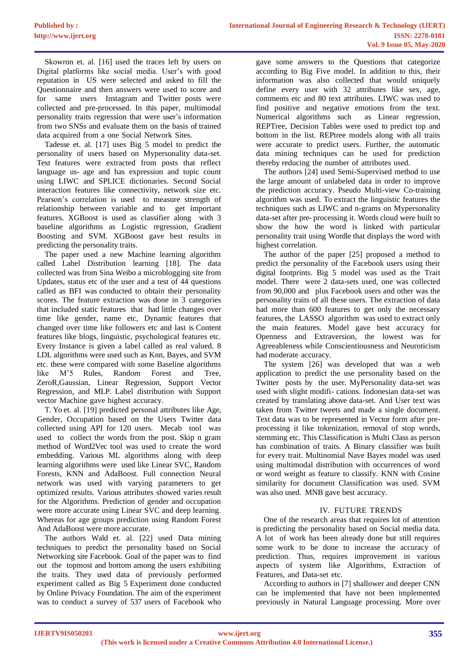Skowron et. al. [16] used the traces left by users on Digital platforms like social media. User's with good reputation in US were selected and asked to fill the Questionnaire and then answers were used to score and for same users Instagram and Twitter posts were collected and pre-processed. In this paper, multimodal personality traits regression that were user's information from two SNSs and evaluate them on the basis of trained data acquired from a one Social Network Sites.

Tadesse et. al. [17] uses Big 5 model to predict the personality of users based on Mypersonality data-set. Text features were extracted from posts that reflect language us- age and has expression and topic count using LIWC and SPLICE dictionaries. Second Social interaction features like connectivity, network size etc. Pearson's correlation is used to measure strength of relationship between variable and to get important features. XGBoost is used as classifier along with 3 baseline algorithms as Logistic regression, Gradient Boosting and SVM. XGBoost gave best results in predicting the personality traits.

The paper used a new Machine learning algorithm called Label Distribution learning [18]. The data collected was from Sina Weibo a microblogging site from Updates, status etc of the user and a test of 44 questions called as BFI was conducted to obtain their personality scores. The feature extraction was done in 3 categories that included static features that had little changes over time like gender, name etc, Dynamic features that changed over time like followers etc and last is Content features like blogs, linguistic, psychological features etc. Every Instance is given a label called as real valued. 8 LDL algorithms were used such as Knn, Bayes, and SVM etc. these were compared with some Baseline algorithms like M'5 Rules, Random Forest and Tree, ZeroR,Gaussian, Linear Regression, Support Vector Regression, and MLP. Label distribution with Support vector Machine gave highest accuracy.

T. Yo et. al. [19] predicted personal attributes like Age, Gender, Occupation based on the Users Twitter data collected using API for 120 users. Mecab tool was used to collect the words from the post. Skip n gram method of Word2Vec tool was used to create the word embedding. Various ML algorithms along with deep learning algorithms were used like Linear SVC, Random Forests, KNN and AdaBoost. Full connection Neural network was used with varying parameters to get optimized results. Various attributes showed varies result for the Algorithms. Prediction of gender and occupation were more accurate using Linear SVC and deep learning. Whereas for age groups prediction using Random Forest And AdaBoost were more accurate.

The authors Wald et. al. [22] used Data mining techniques to predict the personality based on Social Networking site Facebook. Goal of the paper was to find out the topmost and bottom among the users exhibiting the traits. They used data of previously performed experiment called as Big 5 Experiment done conducted by Online Privacy Foundation. The aim of the experiment was to conduct a survey of 537 users of Facebook who

gave some answers to the Questions that categorize according to Big Five model. In addition to this, their information was also collected that would uniquely define every user with 32 attributes like sex, age, comments etc and 80 text attributes. LIWC was used to find positive and negative emotions from the text. Numerical algorithms such as Linear regression, REPTree, Decision Tables were used to predict top and bottom in the list. REPtree models along with all traits were accurate to predict users. Further, the automatic data mining techniques can be used for prediction thereby reducing the number of attributes used.

The authors [24] used Semi-Supervised method to use the large amount of unlabeled data in order to improve the prediction accuracy. Pseudo Multi-view Co-training algorithm was used. To extract the linguistic features the techniques such as LIWC and n-grams on Mypersonality data-set after pre- processing it. Words cloud were built to show the how the word is linked with particular personality trait using Wordle that displays the word with highest correlation.

The author of the paper [25] proposed a method to predict the personality of the Facebook users using their digital footprints. Big 5 model was used as the Trait model. There were 2 data-sets used, one was collected from 90,000 and plus Facebook users and other was the personality traits of all these users. The extraction of data had more than 600 features to get only the necessary features, the LASSO algorithm was used to extract only the main features. Model gave best accuracy for Openness and Extraversion, the lowest was for Agreeableness while Conscientiousness and Neuroticism had moderate accuracy.

The system [26] was developed that was a web application to predict the use personality based on the Twitter posts by the user. MyPersonality data-set was used with slight modifi- cations. Indonesian data-set was created by translating above data-set. And User text was taken from Twitter tweets and made a single document. Text data was to be represented in Vector form after preprocessing it like tokenization, removal of stop words, stemming etc. This Classification is Multi Class as person has combination of traits. A Binary classifier was built for every trait. Multinomial Nave Bayes model was used using multimodal distribution with occurrences of word or word weight as feature to classify. KNN with Cosine similarity for document Classification was used. SVM was also used. MNB gave best accuracy.

# IV. FUTURE TRENDS

One of the research areas that requires lot of attention is predicting the personality based on Social media data. A lot of work has been already done but still requires some work to be done to increase the accuracy of prediction. Thus, requires improvement in various aspects of system like Algorithms, Extraction of Features, and Data-set etc.

According to authors in [7] shallower and deeper CNN can be implemented that have not been implemented previously in Natural Language processing. More over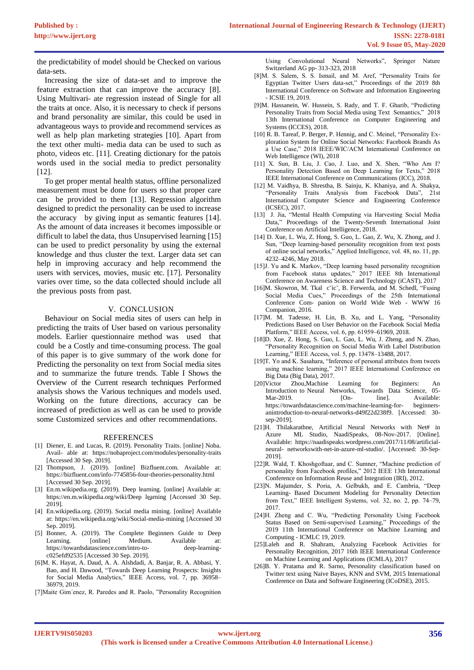the predictability of model should be Checked on various data-sets.

Increasing the size of data-set and to improve the feature extraction that can improve the accuracy [8]. Using Multivari- ate regression instead of Single for all the traits at once. Also, it is necessary to check if persons and brand personality are similar, this could be used in advantageous ways to provide and recommend services as well as help plan marketing strategies [10]. Apart from the text other multi- media data can be used to such as photo, videos etc. [11]. Creating dictionary for the patois words used in the social media to predict personality [12].

To get proper mental health status, offline personalized measurement must be done for users so that proper care can be provided to them [13]. Regression algorithm designed to predict the personality can be used to increase the accuracy by giving input as semantic features [14]. As the amount of data increases it becomes impossible or difficult to label the data, thus Unsupervised learning [15] can be used to predict personality by using the external knowledge and thus cluster the text. Larger data set can help in improving accuracy and help recommend the users with services, movies, music etc. [17]. Personality varies over time, so the data collected should include all the previous posts from past.

## V. CONCLUSION

Behaviour on Social media sites of users can help in predicting the traits of User based on various personality models. Earlier questionnaire method was used that could be a Costly and time-consuming process. The goal of this paper is to give summary of the work done for Predicting the personality on text from Social media sites and to summarize the future trends. Table I Shows the Overview of the Current research techniques Performed analysis shows the Various techniques and models used. Working on the future directions, accuracy can be increased of prediction as well as can be used to provide some Customized services and other recommendations.

#### REFERENCES

- [1] Diener, E. and Lucas, R. (2019). Personality Traits. [online] Noba. Avail- able at: https://nobaproject.com/modules/personality-traits [Accessed 30 Sep. 2019].
- [2] Thompson, J. (2019). [online] Bizfluent.com. Available at: https://bizfluent.com/info-7745856-four-theories-personality.html [Accessed 30 Sep. 2019].
- [3] En.m.wikipedia.org. (2019). Deep learning. [online] Available at: https://en.m.wikipedia.org/wiki/Deep learning [Accessed 30 Sep. 2019].
- [4] En.wikipedia.org. (2019). Social media mining. [online] Available at: https://en.wikipedia.org/wiki/Social-media-mining [Accessed 30 Sep. 2019].
- [5] Bonner, A. (2019). The Complete Beginners Guide to Deep Learning. [online] Medium. Available at: https://towardsdatascience.com/intro-to- deep-learningc025efd92535 [Accessed 30 Sep. 2019].
- [6]M. K. Hayat, A. Daud, A. A. Alshdadi, A. Banjar, R. A. Abbasi, Y. Bao, and H. Dawood, "Towards Deep Learning Prospects: Insights for Social Media Analytics," IEEE Access, vol. 7, pp. 36958– 36979, 2019.
- [7]Maite Gim´enez, R. Paredes and R. Paolo, "Personality Recognition

Using Convolutional Neural Networks", Springer Nature Switzerland AG pp- 313-323, 2018

- [8]M. S. Salem, S. S. Ismail, and M. Aref, "Personality Traits for Egyptian Twitter Users data-set," Proceedings of the 2019 8th International Conference on Software and Information Engineering - ICSIE 19, 2019.
- [9]M. Hassanein, W. Hussein, S. Rady, and T. F. Gharib, "Predicting Personality Traits from Social Media using Text Semantics," 2018 13th International Conference on Computer Engineering and Systems (ICCES), 2018.
- [10] R. B. Tareaf, P. Berger, P. Hennig, and C. Meinel, "Personality Exploration System for Online Social Networks: Facebook Brands As a Use Case," 2018 IEEE/WIC/ACM International Conference on Web Intelligence (WI), 2018
- [11] X. Sun, B. Liu, J. Cao, J. Luo, and X. Shen, "Who Am I? Personality Detection Based on Deep Learning for Texts," 2018 IEEE International Conference on Communications (ICC), 2018.
- [12] M. Vaidhya, B. Shrestha, B. Sainju, K. Khaniya, and A. Shakya, "Personality Traits Analysis from Facebook Data", 21st International Computer Science and Engineering Conference (ICSEC), 2017.
- [13] J. Jia, "Mental Health Computing via Harvesting Social Media Data," Proceedings of the Twenty-Seventh International Joint Conference on Artificial Intelligence, 2018.
- [14] D. Xue, L. Wu, Z. Hong, S. Guo, L. Gao, Z. Wu, X. Zhong, and J. Sun, "Deep learning-based personality recognition from text posts of online social networks," Applied Intelligence, vol. 48, no. 11, pp. 4232–4246, May 2018.
- [15]J. Yu and K. Markov, "Deep learning based personality recognition from Facebook status updates," 2017 IEEE 8th International Conference on Awareness Science and Technology (iCAST), 2017
- [16]M. Skowron, M. Tkal c'ic', B. Ferwerda, and M. Schedl, "Fusing Social Media Cues," Proceedings of the 25th International Conference Com- panion on World Wide Web - WWW 16 Companion, 2016.
- [17]M. M. Tadesse, H. Lin, B. Xu, and L. Yang, "Personality Predictions Based on User Behavior on the Facebook Social Media Platform," IEEE Access, vol. 6, pp. 61959–61969, 2018.
- [18]D. Xue, Z. Hong, S. Guo, L. Gao, L. Wu, J. Zheng, and N. Zhao, "Personality Recognition on Social Media With Label Distribution Learning," IEEE Access, vol. 5, pp. 13478–13488, 2017.
- [19]T. Yo and K. Sasahara, "Inference of personal attributes from tweets using machine learning," 2017 IEEE International Conference on Big Data (Big Data), 2017.
- [20]Victor Zhou,Machine Learning for Beginners: An Introduction to Neural Networks, Towards Data Science, 05- Mar-2019. [On- line]. Available: https://towardsdatascience.com/machine-learning-for- beginnersanintroduction-to-neural-networks-d49f22d238f9. [Accessed: 30 sep-2019].
- [21]H. Thilakarathne, Artificial Neural Networks with Net# in Azure ML Studio, NaadiSpeaks, 08-Nov-2017. [Online]. Available: https://naadispeaks.wordpress.com/2017/11/08/artificialneural- networkswith-net-in-azure-ml-studio/. [Accessed: 30-Sep-2019].
- [22]R. Wald, T. Khoshgoftaar, and C. Sumner, "Machine prediction of personality from Facebook profiles," 2012 IEEE 13th International Conference on Information Reuse and Integration (IRI), 2012.
- [23]N. Majumder, S. Poria, A. Gelbukh, and E. Cambria, "Deep Learning- Based Document Modeling for Personality Detection from Text," IEEE Intelligent Systems, vol. 32, no. 2, pp. 74–79, 2017.
- [24]H. Zheng and C. Wu, "Predicting Personality Using Facebook Status Based on Semi-supervised Learning," Proceedings of the 2019 11th International Conference on Machine Learning and Computing - ICMLC 19, 2019.
- [25]Laleh and R. Shahram, Analyzing Facebook Activities for Personality Recognition, 2017 16th IEEE International Conference on Machine Learning and Applications (ICMLA), 2017
- [26]B. Y. Pratama and R. Sarno, Personality classification based on Twitter text using Naive Bayes, KNN and SVM, 2015 International Conference on Data and Software Engineering (ICoDSE), 2015.